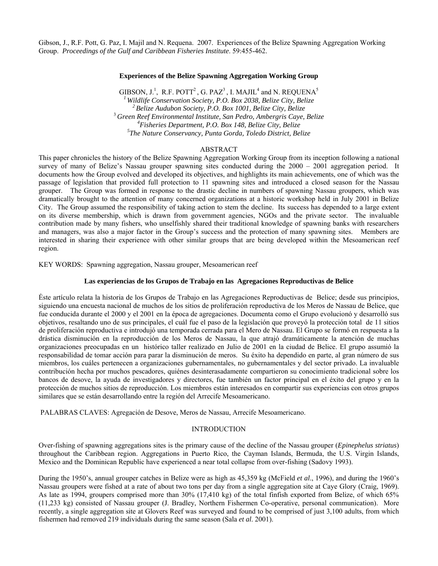Gibson, J., R.F. Pott, G. Paz, I. Majil and N. Requena. 2007. Experiences of the Belize Spawning Aggregation Working Group. *Proceedings of the Gulf and Caribbean Fisheries Institute*. 59:455-462.

### **Experiences of the Belize Spawning Aggregation Working Group**

GIBSON,  $J^1$ , R.F. POTT<sup>2</sup>, G. PAZ<sup>3</sup>, I. MAJIL<sup>4</sup> and N. REQUENA<sup>5</sup> <sup>1</sup> Wildlife Conservation Society, P.O. Box 2038, Belize City, Belize<br><sup>2</sup> Belize Audubon Society, P.O. Box 1001, Belize City, Belize<br><sup>3</sup> Green Reef Environmental Institute, San Pedro, Ambergris Caye, Belize *Fisheries Department, P.O. Box 148, Belize City, Belize 5 The Nature Conservancy, Punta Gorda, Toledo District, Belize* 

## ABSTRACT

This paper chronicles the history of the Belize Spawning Aggregation Working Group from its inception following a national survey of many of Belize's Nassau grouper spawning sites conducted during the 2000 – 2001 aggregation period. It documents how the Group evolved and developed its objectives, and highlights its main achievements, one of which was the passage of legislation that provided full protection to 11 spawning sites and introduced a closed season for the Nassau grouper. The Group was formed in response to the drastic decline in numbers of spawning Nassau groupers, which was dramatically brought to the attention of many concerned organizations at a historic workshop held in July 2001 in Belize City. The Group assumed the responsibility of taking action to stem the decline. Its success has depended to a large extent on its diverse membership, which is drawn from government agencies, NGOs and the private sector. The invaluable contribution made by many fishers, who unselfishly shared their traditional knowledge of spawning banks with researchers and managers, was also a major factor in the Group's success and the protection of many spawning sites. Members are interested in sharing their experience with other similar groups that are being developed within the Mesoamerican reef region.

## KEY WORDS: Spawning aggregation, Nassau grouper, Mesoamerican reef

### **Las experiencias de los Grupos de Trabajo en las Agregaciones Reproductivas de Belice**

Ėste artículo relata la historia de los Grupos de Trabajo en las Agregaciones Reproductivas de Belice; desde sus principios, siguiendo una encuesta nacional de muchos de los sitios de proliferación reproductiva de los Meros de Nassau de Belice, que fue conducida durante el 2000 y el 2001 en la época de agregaciones. Documenta como el Grupo evolucionó y desarrolló sus objetivos, resaltando uno de sus principales, el cuál fue el paso de la legislación que proveyó la protección total de 11 sitios de proliferación reproductiva e introdujó una temporada cerrada para el Mero de Nassau. El Grupo se formó en respuesta a la drástica disminución en la reproducción de los Meros de Nassau, la que atrajó dramáticamente la atención de muchas organizaciones preocupadas en un histórico taller realizado en Julio de 2001 en la ciudad de Belice. El grupo assumió la responsabilidad de tomar acción para parar la disminución de meros. Su éxito ha dependido en parte, al gran número de sus miembros, los cuáles pertenecen a organizaciones gubernamentales, no gubernamentales y del sector privado. La invaluable contribución hecha por muchos pescadores, quiénes desinterasadamente compartieron su conocimiento tradicional sobre los bancos de desove, la ayuda de investigadores y directores, fue también un factor principal en el éxito del grupo y en la protección de muchos sitios de reproducción. Los miembros están interesados en compartir sus experiencias con otros grupos similares que se están desarrollando entre la región del Arrecife Mesoamericano.

PALABRAS CLAVES: Agregación de Desove, Meros de Nassau, Arrecife Mesoamericano.

## INTRODUCTION

Over-fishing of spawning aggregations sites is the primary cause of the decline of the Nassau grouper (*Epinephelus striatus*) throughout the Caribbean region. Aggregations in Puerto Rico, the Cayman Islands, Bermuda, the U.S. Virgin Islands, Mexico and the Dominican Republic have experienced a near total collapse from over-fishing (Sadovy 1993).

During the 1950's, annual grouper catches in Belize were as high as 45,359 kg (McField *et al*., 1996), and during the 1960's Nassau groupers were fished at a rate of about two tons per day from a single aggregation site at Caye Glory (Craig, 1969). As late as 1994, groupers comprised more than 30% (17,410 kg) of the total finfish exported from Belize, of which 65% (11,233 kg) consisted of Nassau grouper (J. Bradley, Northern Fishermen Co-operative, personal communication). More recently, a single aggregation site at Glovers Reef was surveyed and found to be comprised of just 3,100 adults, from which fishermen had removed 219 individuals during the same season (Sala *et al*. 2001).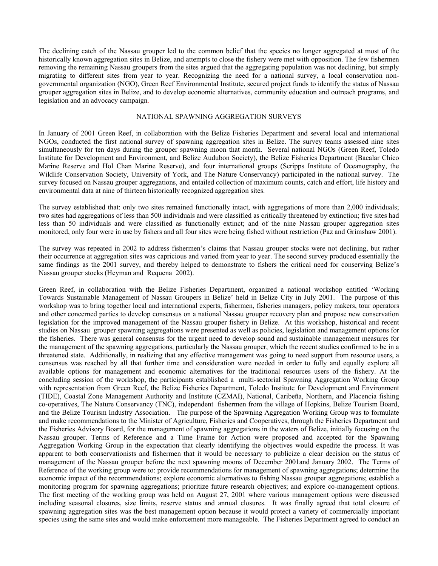The declining catch of the Nassau grouper led to the common belief that the species no longer aggregated at most of the historically known aggregation sites in Belize, and attempts to close the fishery were met with opposition. The few fishermen removing the remaining Nassau groupers from the sites argued that the aggregating population was not declining, but simply migrating to different sites from year to year. Recognizing the need for a national survey, a local conservation nongovernmental organization (NGO), Green Reef Environmental Institute, secured project funds to identify the status of Nassau grouper aggregation sites in Belize, and to develop economic alternatives, community education and outreach programs, and legislation and an advocacy campaign.

#### NATIONAL SPAWNING AGGREGATION SURVEYS

In January of 2001 Green Reef, in collaboration with the Belize Fisheries Department and several local and international NGOs, conducted the first national survey of spawning aggregation sites in Belize. The survey teams assessed nine sites simultaneously for ten days during the grouper spawning moon that month. Several national NGOs (Green Reef, Toledo Institute for Development and Environment, and Belize Audubon Society), the Belize Fisheries Department (Bacalar Chico Marine Reserve and Hol Chan Marine Reserve), and four international groups (Scripps Institute of Oceanography, the Wildlife Conservation Society, University of York, and The Nature Conservancy) participated in the national survey. The survey focused on Nassau grouper aggregations, and entailed collection of maximum counts, catch and effort, life history and environmental data at nine of thirteen historically recognized aggregation sites.

The survey established that: only two sites remained functionally intact, with aggregations of more than 2,000 individuals; two sites had aggregations of less than 500 individuals and were classified as critically threatened by extinction; five sites had less than 50 individuals and were classified as functionally extinct; and of the nine Nassau grouper aggregation sites monitored, only four were in use by fishers and all four sites were being fished without restriction (Paz and Grimshaw 2001).

The survey was repeated in 2002 to address fishermen's claims that Nassau grouper stocks were not declining, but rather their occurrence at aggregation sites was capricious and varied from year to year. The second survey produced essentially the same findings as the 2001 survey, and thereby helped to demonstrate to fishers the critical need for conserving Belize's Nassau grouper stocks (Heyman and Requena 2002).

Green Reef, in collaboration with the Belize Fisheries Department, organized a national workshop entitled 'Working Towards Sustainable Management of Nassau Groupers in Belize' held in Belize City in July 2001. The purpose of this workshop was to bring together local and international experts, fishermen, fisheries managers, policy makers, tour operators and other concerned parties to develop consensus on a national Nassau grouper recovery plan and propose new conservation legislation for the improved management of the Nassau grouper fishery in Belize. At this workshop, historical and recent studies on Nassau grouper spawning aggregations were presented as well as policies, legislation and management options for the fisheries. There was general consensus for the urgent need to develop sound and sustainable management measures for the management of the spawning aggregations, particularly the Nassau grouper, which the recent studies confirmed to be in a threatened state. Additionally, in realizing that any effective management was going to need support from resource users, a consensus was reached by all that further time and consideration were needed in order to fully and equally explore all available options for management and economic alternatives for the traditional resources users of the fishery. At the concluding session of the workshop, the participants established a multi-sectorial Spawning Aggregation Working Group with representation from Green Reef, the Belize Fisheries Department, Toledo Institute for Development and Environment (TIDE), Coastal Zone Management Authority and Institute (CZMAI), National, Caribeña, Northern, and Placencia fishing co-operatives, The Nature Conservancy (TNC), independent fishermen from the village of Hopkins, Belize Tourism Board, and the Belize Tourism Industry Association. The purpose of the Spawning Aggregation Working Group was to formulate and make recommendations to the Minister of Agriculture, Fisheries and Cooperatives, through the Fisheries Department and the Fisheries Advisory Board, for the management of spawning aggregations in the waters of Belize, initially focusing on the Nassau grouper. Terms of Reference and a Time Frame for Action were proposed and accepted for the Spawning Aggregation Working Group in the expectation that clearly identifying the objectives would expedite the process. It was apparent to both conservationists and fishermen that it would be necessary to publicize a clear decision on the status of management of the Nassau grouper before the next spawning moons of December 2001and January 2002. The Terms of Reference of the working group were to: provide recommendations for management of spawning aggregations; determine the economic impact of the recommendations; explore economic alternatives to fishing Nassau grouper aggregations; establish a monitoring program for spawning aggregations; prioritize future research objectives; and explore co-management options. The first meeting of the working group was held on August 27, 2001 where various management options were discussed including seasonal closures, size limits, reserve status and annual closures. It was finally agreed that total closure of spawning aggregation sites was the best management option because it would protect a variety of commercially important species using the same sites and would make enforcement more manageable. The Fisheries Department agreed to conduct an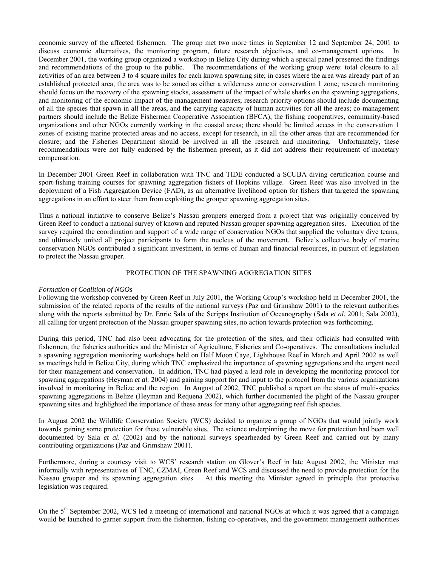economic survey of the affected fishermen. The group met two more times in September 12 and September 24, 2001 to discuss economic alternatives, the monitoring program, future research objectives, and co-management options. In December 2001, the working group organized a workshop in Belize City during which a special panel presented the findings and recommendations of the group to the public. The recommendations of the working group were: total closure to all activities of an area between 3 to 4 square miles for each known spawning site; in cases where the area was already part of an established protected area, the area was to be zoned as either a wilderness zone or conservation 1 zone; research monitoring should focus on the recovery of the spawning stocks, assessment of the impact of whale sharks on the spawning aggregations, and monitoring of the economic impact of the management measures; research priority options should include documenting of all the species that spawn in all the areas, and the carrying capacity of human activities for all the areas; co-management partners should include the Belize Fishermen Cooperative Association (BFCA), the fishing cooperatives, community-based organizations and other NGOs currently working in the coastal areas; there should be limited access in the conservation 1 zones of existing marine protected areas and no access, except for research, in all the other areas that are recommended for closure; and the Fisheries Department should be involved in all the research and monitoring. Unfortunately, these recommendations were not fully endorsed by the fishermen present, as it did not address their requirement of monetary compensation.

In December 2001 Green Reef in collaboration with TNC and TIDE conducted a SCUBA diving certification course and sport-fishing training courses for spawning aggregation fishers of Hopkins village. Green Reef was also involved in the deployment of a Fish Aggregation Device (FAD), as an alternative livelihood option for fishers that targeted the spawning aggregations in an effort to steer them from exploiting the grouper spawning aggregation sites.

Thus a national initiative to conserve Belize's Nassau groupers emerged from a project that was originally conceived by Green Reef to conduct a national survey of known and reputed Nassau grouper spawning aggregation sites. Execution of the survey required the coordination and support of a wide range of conservation NGOs that supplied the voluntary dive teams, and ultimately united all project participants to form the nucleus of the movement. Belize's collective body of marine conservation NGOs contributed a significant investment, in terms of human and financial resources, in pursuit of legislation to protect the Nassau grouper.

## PROTECTION OF THE SPAWNING AGGREGATION SITES

# *Formation of Coalition of NGOs*

Following the workshop convened by Green Reef in July 2001, the Working Group's workshop held in December 2001, the submission of the related reports of the results of the national surveys (Paz and Grimshaw 2001) to the relevant authorities along with the reports submitted by Dr. Enric Sala of the Scripps Institution of Oceanography (Sala *et al*. 2001; Sala 2002), all calling for urgent protection of the Nassau grouper spawning sites, no action towards protection was forthcoming.

During this period, TNC had also been advocating for the protection of the sites, and their officials had consulted with fishermen, the fisheries authorities and the Minister of Agriculture, Fisheries and Co-operatives. The consultations included a spawning aggregation monitoring workshops held on Half Moon Caye, Lighthouse Reef in March and April 2002 as well as meetings held in Belize City, during which TNC emphasized the importance of spawning aggregations and the urgent need for their management and conservation. In addition, TNC had played a lead role in developing the monitoring protocol for spawning aggregations (Heyman *et al.* 2004) and gaining support for and input to the protocol from the various organizations involved in monitoring in Belize and the region. In August of 2002, TNC published a report on the status of multi-species spawning aggregations in Belize (Heyman and Requena 2002), which further documented the plight of the Nassau grouper spawning sites and highlighted the importance of these areas for many other aggregating reef fish species.

In August 2002 the Wildlife Conservation Society (WCS) decided to organize a group of NGOs that would jointly work towards gaining some protection for these vulnerable sites. The science underpinning the move for protection had been well documented by Sala *et al.* (2002) and by the national surveys spearheaded by Green Reef and carried out by many contributing organizations (Paz and Grimshaw 2001).

Furthermore, during a courtesy visit to WCS' research station on Glover's Reef in late August 2002, the Minister met informally with representatives of TNC, CZMAI, Green Reef and WCS and discussed the need to provide protection for the Nassau grouper and its spawning aggregation sites. At this meeting the Minister agreed in principle that protective legislation was required.

On the 5<sup>th</sup> September 2002, WCS led a meeting of international and national NGOs at which it was agreed that a campaign would be launched to garner support from the fishermen, fishing co-operatives, and the government management authorities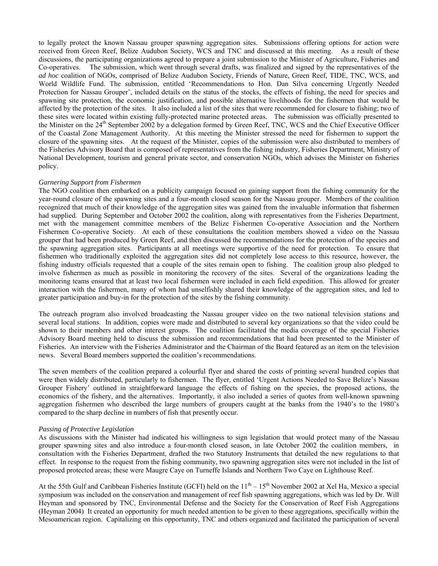to legally protect the known Nassau grouper spawning aggregation sites. Submissions offering options for action were received from Green Reef, Belize Audubon Society, WCS and TNC and discussed at this meeting. As a result of these discussions, the participating organizations agreed to prepare a joint submission to the Minister of Agriculture, Fisheries and Co-operatives. The submission, which went through several drafts, was finalized and signed by the representatives of the *ad hoc* coalition of NGOs, comprised of Belize Audubon Society, Friends of Nature, Green Reef, TIDE, TNC, WCS, and World Wildlife Fund. The submission, entitled 'Recommendations to Hon. Dan Silva concerning Urgently Needed Protection for Nassau Grouper', included details on the status of the stocks, the effects of fishing, the need for species and spawning site protection, the economic justification, and possible alternative livelihoods for the fishermen that would be affected by the protection of the sites. It also included a list of the sites that were recommended for closure to fishing; two of these sites were located within existing fully-protected marine protected areas. The submission was officially presented to the Minister on the 24<sup>th</sup> September 2002 by a delegation formed by Green Reef, TNC, WCS and the Chief Executive Officer of the Coastal Zone Management Authority. At this meeting the Minister stressed the need for fishermen to support the closure of the spawning sites. At the request of the Minister, copies of the submission were also distributed to members of the Fisheries Advisory Board that is composed of representatives from the fishing industry, Fisheries Department, Ministry of National Development, tourism and general private sector, and conservation NGOs, which advises the Minister on fisheries policy.

## *Garnering Support from Fishermen*

The NGO coalition then embarked on a publicity campaign focused on gaining support from the fishing community for the year-round closure of the spawning sites and a four-month closed season for the Nassau grouper. Members of the coalition recognized that much of their knowledge of the aggregation sites was gained from the invaluable information that fishermen had supplied. During September and October 2002 the coalition, along with representatives from the Fisheries Department, met with the management committee members of the Belize Fishermen Co-operative Association and the Northern Fishermen Co-operative Society. At each of these consultations the coalition members showed a video on the Nassau grouper that had been produced by Green Reef, and then discussed the recommendations for the protection of the species and the spawning aggregation sites. Participants at all meetings were supportive of the need for protection. To ensure that fishermen who traditionally exploited the aggregation sites did not completely lose access to this resource, however, the fishing industry officials requested that a couple of the sites remain open to fishing. The coalition group also pledged to involve fishermen as much as possible in monitoring the recovery of the sites. Several of the organizations leading the monitoring teams ensured that at least two local fishermen were included in each field expedition. This allowed for greater interaction with the fishermen, many of whom had unselfishly shared their knowledge of the aggregation sites, and led to greater participation and buy-in for the protection of the sites by the fishing community.

The outreach program also involved broadcasting the Nassau grouper video on the two national television stations and several local stations. In addition, copies were made and distributed to several key organizations so that the video could be shown to their members and other interest groups. The coalition facilitated the media coverage of the special Fisheries Advisory Board meeting held to discuss the submission and recommendations that had been presented to the Minister of Fisheries. An interview with the Fisheries Administrator and the Chairman of the Board featured as an item on the television news. Several Board members supported the coalition's recommendations.

The seven members of the coalition prepared a colourful flyer and shared the costs of printing several hundred copies that were then widely distributed, particularly to fishermen. The flyer, entitled 'Urgent Actions Needed to Save Belize's Nassau Grouper Fishery' outlined in straightforward language the effects of fishing on the species, the proposed actions, the economics of the fishery, and the alternatives. Importantly, it also included a series of quotes from well-known spawning aggregation fishermen who described the large numbers of groupers caught at the banks from the 1940's to the 1980's compared to the sharp decline in numbers of fish that presently occur.

#### *Passing of Protective Legislation*

As discussions with the Minister had indicated his willingness to sign legislation that would protect many of the Nassau grouper spawning sites and also introduce a four-month closed season, in late October 2002 the coalition members, in consultation with the Fisheries Department, drafted the two Statutory Instruments that detailed the new regulations to that effect. In response to the request from the fishing community, two spawning aggregation sites were not included in the list of proposed protected areas; these were Maugre Caye on Turneffe Islands and Northern Two Caye on Lighthouse Reef.

At the 55th Gulf and Caribbean Fisheries Institute (GCFI) held on the  $11<sup>th</sup> - 15<sup>th</sup>$  November 2002 at Xel Ha, Mexico a special symposium was included on the conservation and management of reef fish spawning aggregations, which was led by Dr. Will Heyman and sponsored by TNC, Environmental Defense and the Society for the Conservation of Reef Fish Aggregations (Heyman 2004) It created an opportunity for much needed attention to be given to these aggregations, specifically within the Mesoamerican region. Capitalizing on this opportunity, TNC and others organized and facilitated the participation of several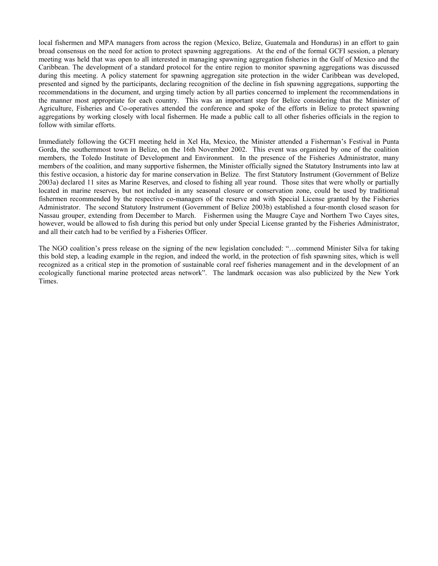local fishermen and MPA managers from across the region (Mexico, Belize, Guatemala and Honduras) in an effort to gain broad consensus on the need for action to protect spawning aggregations. At the end of the formal GCFI session, a plenary meeting was held that was open to all interested in managing spawning aggregation fisheries in the Gulf of Mexico and the Caribbean. The development of a standard protocol for the entire region to monitor spawning aggregations was discussed during this meeting. A policy statement for spawning aggregation site protection in the wider Caribbean was developed, presented and signed by the participants, declaring recognition of the decline in fish spawning aggregations, supporting the recommendations in the document, and urging timely action by all parties concerned to implement the recommendations in the manner most appropriate for each country. This was an important step for Belize considering that the Minister of Agriculture, Fisheries and Co-operatives attended the conference and spoke of the efforts in Belize to protect spawning aggregations by working closely with local fishermen. He made a public call to all other fisheries officials in the region to follow with similar efforts.

Immediately following the GCFI meeting held in Xel Ha, Mexico, the Minister attended a Fisherman's Festival in Punta Gorda, the southernmost town in Belize, on the 16th November 2002. This event was organized by one of the coalition members, the Toledo Institute of Development and Environment. In the presence of the Fisheries Administrator, many members of the coalition, and many supportive fishermen, the Minister officially signed the Statutory Instruments into law at this festive occasion, a historic day for marine conservation in Belize. The first Statutory Instrument (Government of Belize 2003a) declared 11 sites as Marine Reserves, and closed to fishing all year round. Those sites that were wholly or partially located in marine reserves, but not included in any seasonal closure or conservation zone, could be used by traditional fishermen recommended by the respective co-managers of the reserve and with Special License granted by the Fisheries Administrator. The second Statutory Instrument (Government of Belize 2003b) established a four-month closed season for Nassau grouper, extending from December to March. Fishermen using the Maugre Caye and Northern Two Cayes sites, however, would be allowed to fish during this period but only under Special License granted by the Fisheries Administrator, and all their catch had to be verified by a Fisheries Officer.

The NGO coalition's press release on the signing of the new legislation concluded: "…commend Minister Silva for taking this bold step, a leading example in the region, and indeed the world, in the protection of fish spawning sites, which is well recognized as a critical step in the promotion of sustainable coral reef fisheries management and in the development of an ecologically functional marine protected areas network". The landmark occasion was also publicized by the New York Times.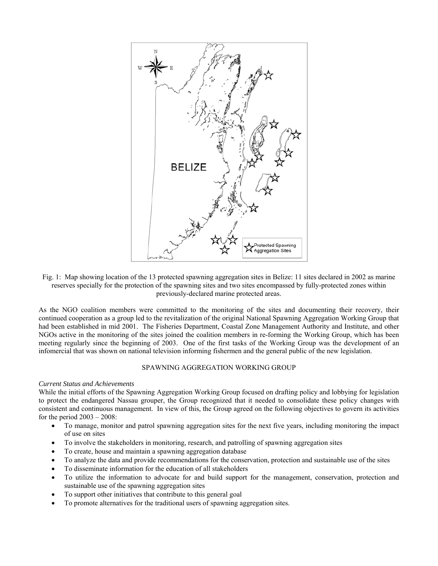

Fig. 1: Map showing location of the 13 protected spawning aggregation sites in Belize: 11 sites declared in 2002 as marine reserves specially for the protection of the spawning sites and two sites encompassed by fully-protected zones within previously-declared marine protected areas.

As the NGO coalition members were committed to the monitoring of the sites and documenting their recovery, their continued cooperation as a group led to the revitalization of the original National Spawning Aggregation Working Group that had been established in mid 2001. The Fisheries Department, Coastal Zone Management Authority and Institute, and other NGOs active in the monitoring of the sites joined the coalition members in re-forming the Working Group, which has been meeting regularly since the beginning of 2003. One of the first tasks of the Working Group was the development of an infomercial that was shown on national television informing fishermen and the general public of the new legislation.

# SPAWNING AGGREGATION WORKING GROUP

#### *Current Status and Achievements*

While the initial efforts of the Spawning Aggregation Working Group focused on drafting policy and lobbying for legislation to protect the endangered Nassau grouper, the Group recognized that it needed to consolidate these policy changes with consistent and continuous management. In view of this, the Group agreed on the following objectives to govern its activities for the period  $2003 - 2008$ :

- To manage, monitor and patrol spawning aggregation sites for the next five years, including monitoring the impact of use on sites
- To involve the stakeholders in monitoring, research, and patrolling of spawning aggregation sites
- To create, house and maintain a spawning aggregation database
- To analyze the data and provide recommendations for the conservation, protection and sustainable use of the sites
- To disseminate information for the education of all stakeholders
- To utilize the information to advocate for and build support for the management, conservation, protection and sustainable use of the spawning aggregation sites
- To support other initiatives that contribute to this general goal
- To promote alternatives for the traditional users of spawning aggregation sites.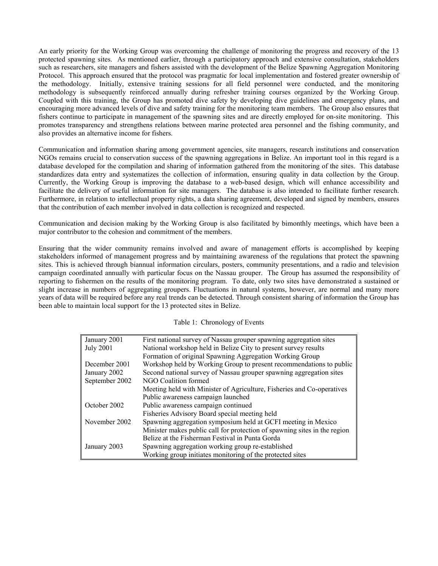An early priority for the Working Group was overcoming the challenge of monitoring the progress and recovery of the 13 protected spawning sites. As mentioned earlier, through a participatory approach and extensive consultation, stakeholders such as researchers, site managers and fishers assisted with the development of the Belize Spawning Aggregation Monitoring Protocol. This approach ensured that the protocol was pragmatic for local implementation and fostered greater ownership of the methodology. Initially, extensive training sessions for all field personnel were conducted, and the monitoring methodology is subsequently reinforced annually during refresher training courses organized by the Working Group. Coupled with this training, the Group has promoted dive safety by developing dive guidelines and emergency plans, and encouraging more advanced levels of dive and safety training for the monitoring team members. The Group also ensures that fishers continue to participate in management of the spawning sites and are directly employed for on-site monitoring. This promotes transparency and strengthens relations between marine protected area personnel and the fishing community, and also provides an alternative income for fishers.

Communication and information sharing among government agencies, site managers, research institutions and conservation NGOs remains crucial to conservation success of the spawning aggregations in Belize. An important tool in this regard is a database developed for the compilation and sharing of information gathered from the monitoring of the sites. This database standardizes data entry and systematizes the collection of information, ensuring quality in data collection by the Group. Currently, the Working Group is improving the database to a web-based design, which will enhance accessibility and facilitate the delivery of useful information for site managers. The database is also intended to facilitate further research. Furthermore, in relation to intellectual property rights, a data sharing agreement, developed and signed by members, ensures that the contribution of each member involved in data collection is recognized and respected.

Communication and decision making by the Working Group is also facilitated by bimonthly meetings, which have been a major contributor to the cohesion and commitment of the members.

Ensuring that the wider community remains involved and aware of management efforts is accomplished by keeping stakeholders informed of management progress and by maintaining awareness of the regulations that protect the spawning sites. This is achieved through biannual information circulars, posters, community presentations, and a radio and television campaign coordinated annually with particular focus on the Nassau grouper. The Group has assumed the responsibility of reporting to fishermen on the results of the monitoring program. To date, only two sites have demonstrated a sustained or slight increase in numbers of aggregating groupers. Fluctuations in natural systems, however, are normal and many more years of data will be required before any real trends can be detected. Through consistent sharing of information the Group has been able to maintain local support for the 13 protected sites in Belize.

#### Table 1: Chronology of Events

| January 2001     | First national survey of Nassau grouper spawning aggregation sites        |
|------------------|---------------------------------------------------------------------------|
| <b>July 2001</b> | National workshop held in Belize City to present survey results           |
|                  | Formation of original Spawning Aggregation Working Group                  |
| December 2001    | Workshop held by Working Group to present recommendations to public       |
| January 2002     | Second national survey of Nassau grouper spawning aggregation sites       |
| September 2002   | NGO Coalition formed                                                      |
|                  | Meeting held with Minister of Agriculture, Fisheries and Co-operatives    |
|                  | Public awareness campaign launched                                        |
| October 2002     | Public awareness campaign continued                                       |
|                  | Fisheries Advisory Board special meeting held                             |
| November 2002    | Spawning aggregation symposium held at GCFI meeting in Mexico             |
|                  | Minister makes public call for protection of spawning sites in the region |
|                  | Belize at the Fisherman Festival in Punta Gorda                           |
| January 2003     | Spawning aggregation working group re-established                         |
|                  | Working group initiates monitoring of the protected sites                 |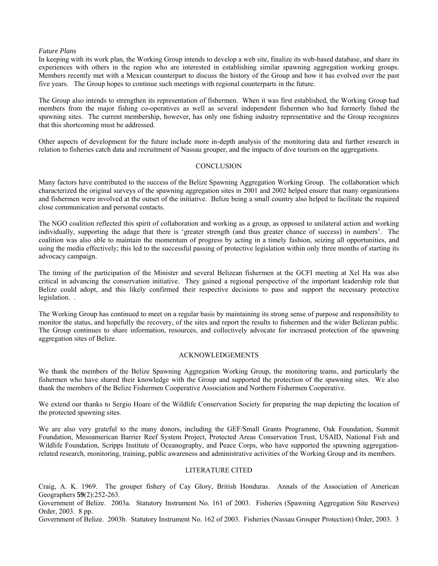### *Future Plans*

In keeping with its work plan, the Working Group intends to develop a web site, finalize its web-based database, and share its experiences with others in the region who are interested in establishing similar spawning aggregation working groups. Members recently met with a Mexican counterpart to discuss the history of the Group and how it has evolved over the past five years. The Group hopes to continue such meetings with regional counterparts in the future.

The Group also intends to strengthen its representation of fishermen. When it was first established, the Working Group had members from the major fishing co-operatives as well as several independent fishermen who had formerly fished the spawning sites. The current membership, however, has only one fishing industry representative and the Group recognizes that this shortcoming must be addressed.

Other aspects of development for the future include more in-depth analysis of the monitoring data and further research in relation to fisheries catch data and recruitment of Nassau grouper, and the impacts of dive tourism on the aggregations.

#### **CONCLUSION**

Many factors have contributed to the success of the Belize Spawning Aggregation Working Group. The collaboration which characterized the original surveys of the spawning aggregation sites in 2001 and 2002 helped ensure that many organizations and fishermen were involved at the outset of the initiative. Belize being a small country also helped to facilitate the required close communication and personal contacts.

The NGO coalition reflected this spirit of collaboration and working as a group, as opposed to unilateral action and working individually, supporting the adage that there is 'greater strength (and thus greater chance of success) in numbers'. The coalition was also able to maintain the momentum of progress by acting in a timely fashion, seizing all opportunities, and using the media effectively; this led to the successful passing of protective legislation within only three months of starting its advocacy campaign.

The timing of the participation of the Minister and several Belizean fishermen at the GCFI meeting at Xel Ha was also critical in advancing the conservation initiative. They gained a regional perspective of the important leadership role that Belize could adopt, and this likely confirmed their respective decisions to pass and support the necessary protective legislation. .

The Working Group has continued to meet on a regular basis by maintaining its strong sense of purpose and responsibility to monitor the status, and hopefully the recovery, of the sites and report the results to fishermen and the wider Belizean public. The Group continues to share information, resources, and collectively advocate for increased protection of the spawning aggregation sites of Belize.

# ACKNOWLEDGEMENTS

We thank the members of the Belize Spawning Aggregation Working Group, the monitoring teams, and particularly the fishermen who have shared their knowledge with the Group and supported the protection of the spawning sites. We also thank the members of the Belize Fishermen Cooperative Association and Northern Fishermen Cooperative.

We extend our thanks to Sergio Hoare of the Wildlife Conservation Society for preparing the map depicting the location of the protected spawning sites.

We are also very grateful to the many donors, including the GEF/Small Grants Programme, Oak Foundation, Summit Foundation, Mesoamerican Barrier Reef System Project, Protected Areas Conservation Trust, USAID, National Fish and Wildlife Foundation, Scripps Institute of Oceanography, and Peace Corps, who have supported the spawning aggregationrelated research, monitoring, training, public awareness and administrative activities of the Working Group and its members.

#### LITERATURE CITED

Craig, A. K. 1969. The grouper fishery of Cay Glory, British Honduras. Annals of the Association of American Geographers **59**(2):252-263.

Government of Belize. 2003a. Statutory Instrument No. 161 of 2003. Fisheries (Spawning Aggregation Site Reserves) Order, 2003. 8 pp.

Government of Belize. 2003b. Statutory Instrument No. 162 of 2003. Fisheries (Nassau Grouper Protection) Order, 2003. 3